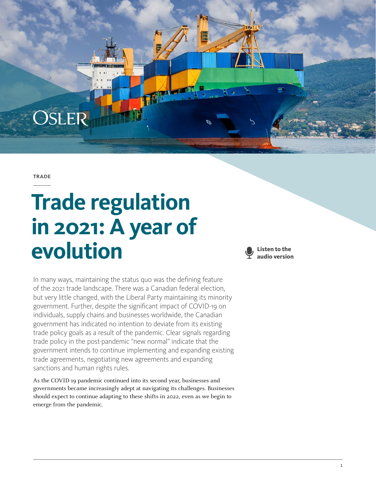**TRADE** 

OSLER

# **Trade regulation in 2021: A year of evolution**



In many ways, maintaining the status quo was the defining feature of the 2021 trade landscape. There was a Canadian federal election, but very little changed, with the Liberal Party maintaining its minority government. Further, despite the significant impact of COVID-19 on individuals, supply chains and businesses worldwide, the Canadian government has indicated no intention to deviate from its existing trade policy goals as a result of the pandemic. Clear signals regarding trade policy in the post-pandemic "new normal" indicate that the government intends to continue implementing and expanding existing trade agreements, negotiating new agreements and expanding sanctions and human rights rules.

As the COVID-19 pandemic continued into its second year, businesses and governments became increasingly adept at navigating its challenges. Businesses should expect to continue adapting to these shifts in 2022, even as we begin to emerge from the pandemic.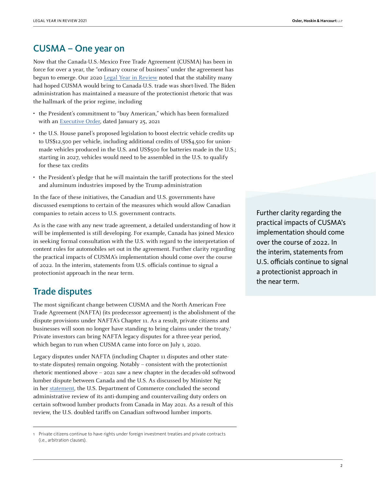### CUSMA – One year on

Now that the Canada-U.S.-Mexico Free Trade Agreement (CUSMA) has been in force for over a year, the "ordinary course of business" under the agreement has begun to emerge. Our 2020 [Legal Year in Review](https://www.osler.com/en/resources/cross-border/2020/cusma-comes-into-force-and-biden-is-elected-president-calmer-seas-ahead-for-u-s-canada-trade) noted that the stability many had hoped CUSMA would bring to Canada-U.S. trade was short-lived. The Biden administration has maintained a measure of the protectionist rhetoric that was the hallmark of the prior regime, including

- the President's commitment to "buy American," which has been formalized with an [Executive Order,](https://www.whitehouse.gov/briefing-room/presidential-actions/2021/01/25/executive-order-on-ensuring-the-future-is-made-in-all-of-america-by-all-of-americas-workers/) dated January 25, 2021
- the U.S. House panel's proposed legislation to boost electric vehicle credits up to US\$12,500 per vehicle, including additional credits of US\$4,500 for unionmade vehicles produced in the U.S. and US\$500 for batteries made in the U.S.; starting in 2027, vehicles would need to be assembled in the U.S. to qualify for these tax credits
- the President's pledge that he will maintain the tariff protections for the steel and aluminum industries imposed by the Trump administration

In the face of these initiatives, the Canadian and U.S. governments have discussed exemptions to certain of the measures which would allow Canadian companies to retain access to U.S. government contracts.

As is the case with any new trade agreement, a detailed understanding of how it will be implemented is still developing. For example, Canada has joined Mexico in seeking formal consultation with the U.S. with regard to the interpretation of content rules for automobiles set out in the agreement. Further clarity regarding the practical impacts of CUSMA's implementation should come over the course of 2022. In the interim, statements from U.S. officials continue to signal a protectionist approach in the near term.

#### Trade disputes

The most significant change between CUSMA and the North American Free Trade Agreement (NAFTA) (its predecessor agreement) is the abolishment of the dispute provisions under NAFTA's Chapter 11. As a result, private citizens and businesses will soon no longer have standing to bring claims under the treaty.1 Private investors can bring NAFTA legacy disputes for a three-year period, which began to run when CUSMA came into force on July 1, 2020.

Legacy disputes under NAFTA (including Chapter 11 disputes and other stateto-state disputes) remain ongoing. Notably – consistent with the protectionist rhetoric mentioned above – 2021 saw a new chapter in the decades-old softwood lumber dispute between Canada and the U.S. As discussed by Minister Ng in her [statement,](https://www.canada.ca/en/global-affairs/news/2021/05/statement-by-minister-ng-on-us-preliminary-duty-rates-on-canadian-softwood-lumber.html) the U.S. Department of Commerce concluded the second administrative review of its anti-dumping and countervailing duty orders on certain softwood lumber products from Canada in May 2021. As a result of this review, the U.S. doubled tariffs on Canadian softwood lumber imports.

1 Private citizens continue to have rights under foreign investment treaties and private contracts (i.e., arbitration clauses).

Further clarity regarding the practical impacts of CUSMA's implementation should come over the course of 2022. In the interim, statements from U.S. officials continue to signal a protectionist approach in the near term.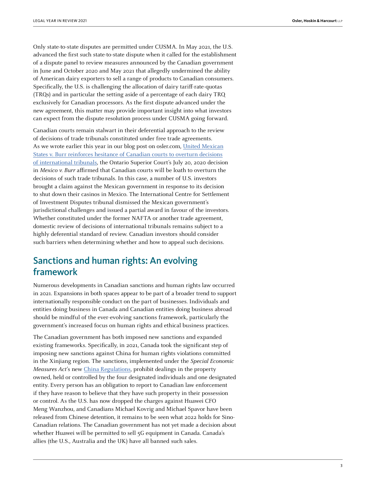Only state-to-state disputes are permitted under CUSMA. In May 2021, the U.S. advanced the first such state-to-state dispute when it called for the establishment of a dispute panel to review measures announced by the Canadian government in June and October 2020 and May 2021 that allegedly undermined the ability of American dairy exporters to sell a range of products to Canadian consumers. Specifically, the U.S. is challenging the allocation of dairy tariff-rate-quotas (TRQs) and in particular the setting aside of a percentage of each dairy TRQ exclusively for Canadian processors. As the first dispute advanced under the new agreement, this matter may provide important insight into what investors can expect from the dispute resolution process under CUSMA going forward.

Canadian courts remain stalwart in their deferential approach to the review of decisions of trade tribunals constituted under free trade agreements. As we wrote earlier this year in our blog post on osler.com, [United Mexican](https://www.osler.com/en/resources/cross-border/2021/united-mexican-states-v-burr-reinforces-hesitance-of-canadian-courts-to-overturn-decisions-of-inter) [States v. Burr reinforces hesitance of Canadian courts to overturn decisions](https://www.osler.com/en/resources/cross-border/2021/united-mexican-states-v-burr-reinforces-hesitance-of-canadian-courts-to-overturn-decisions-of-inter) [of international tribunals,](https://www.osler.com/en/resources/cross-border/2021/united-mexican-states-v-burr-reinforces-hesitance-of-canadian-courts-to-overturn-decisions-of-inter) the Ontario Superior Court's July 20, 2020 decision in Mexico v. Burr affirmed that Canadian courts will be loath to overturn the decisions of such trade tribunals. In this case, a number of U.S. investors brought a claim against the Mexican government in response to its decision to shut down their casinos in Mexico. The International Centre for Settlement of Investment Disputes tribunal dismissed the Mexican government's jurisdictional challenges and issued a partial award in favour of the investors. Whether constituted under the former NAFTA or another trade agreement, domestic review of decisions of international tribunals remains subject to a highly deferential standard of review. Canadian investors should consider such barriers when determining whether and how to appeal such decisions.

## Sanctions and human rights: An evolving framework

Numerous developments in Canadian sanctions and human rights law occurred in 2021. Expansions in both spaces appear to be part of a broader trend to support internationally responsible conduct on the part of businesses. Individuals and entities doing business in Canada and Canadian entities doing business abroad should be mindful of the ever-evolving sanctions framework, particularly the government's increased focus on human rights and ethical business practices.

The Canadian government has both imposed new sanctions and expanded existing frameworks. Specifically, in 2021, Canada took the significant step of imposing new sanctions against China for human rights violations committed in the Xinjiang region. The sanctions, implemented under the Special Economic Measures Act's new [China Regulations,](https://laws-lois.justice.gc.ca/eng/regulations/SOR-2021-49/index.html) prohibit dealings in the property owned, held or controlled by the four designated individuals and one designated entity. Every person has an obligation to report to Canadian law enforcement if they have reason to believe that they have such property in their possession or control. As the U.S. has now dropped the charges against Huawei CFO Meng Wanzhou, and Canadians Michael Kovrig and Michael Spavor have been released from Chinese detention, it remains to be seen what 2022 holds for Sino-Canadian relations. The Canadian government has not yet made a decision about whether Huawei will be permitted to sell 5G equipment in Canada. Canada's allies (the U.S., Australia and the UK) have all banned such sales.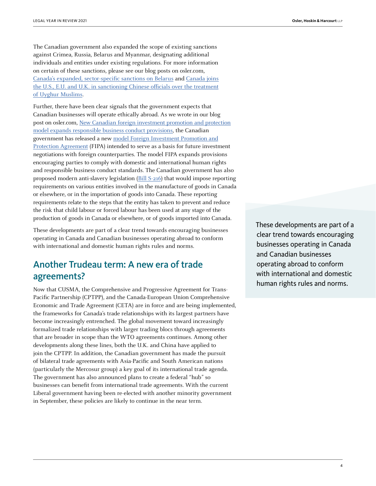The Canadian government also expanded the scope of existing sanctions against Crimea, Russia, Belarus and Myanmar, designating additional individuals and entities under existing regulations. For more information on certain of these sanctions, please see our blog posts on osler.com, [Canada's expanded, sector-specific sanctions on Belarus](https://www.osler.com/en/resources/regulations/2021/canada-s-expanded-sector-specific-sanctions-on-belarus) and [Canada joins](https://www.osler.com/en/resources/cross-border/2021/canada-joins-the-u-s-e-u-and-u-k-in-sanctioning-chinese-officials-over-the-treatment-of-uyghur-m) [the U.S., E.U. and U.K. in sanctioning Chinese officials over the treatment](https://www.osler.com/en/resources/cross-border/2021/canada-joins-the-u-s-e-u-and-u-k-in-sanctioning-chinese-officials-over-the-treatment-of-uyghur-m) [of Uyghur Muslims.](https://www.osler.com/en/resources/cross-border/2021/canada-joins-the-u-s-e-u-and-u-k-in-sanctioning-chinese-officials-over-the-treatment-of-uyghur-m)

Further, there have been clear signals that the government expects that Canadian businesses will operate ethically abroad. As we wrote in our blog post on osler.com, [New Canadian foreign investment promotion and protection](https://www.osler.com/en/blogs/risk/june-2021/new-canadian-foreign-investment-promotion-and-protection-model-expands-responsible-business-conduct) [model expands responsible business conduct provisions](https://www.osler.com/en/blogs/risk/june-2021/new-canadian-foreign-investment-promotion-and-protection-model-expands-responsible-business-conduct), the Canadian government has released a new [model Foreign Investment Promotion and](https://www.international.gc.ca/trade-commerce/trade-agreements-accords-commerciaux/agr-acc/fipa-apie/2021_model_fipa-2021_modele_apie.aspx?lang=eng) [Protection Agreement](https://www.international.gc.ca/trade-commerce/trade-agreements-accords-commerciaux/agr-acc/fipa-apie/2021_model_fipa-2021_modele_apie.aspx?lang=eng) (FIPA) intended to serve as a basis for future investment negotiations with foreign counterparties. The model FIPA expands provisions encouraging parties to comply with domestic and international human rights and responsible business conduct standards. The Canadian government has also proposed modern anti-slavery legislation [\(Bill S-216](https://parl.ca/DocumentViewer/en/43-2/bill/S-216/first-reading)) that would impose reporting requirements on various entities involved in the manufacture of goods in Canada or elsewhere, or in the importation of goods into Canada. These reporting requirements relate to the steps that the entity has taken to prevent and reduce the risk that child labour or forced labour has been used at any stage of the production of goods in Canada or elsewhere, or of goods imported into Canada.

These developments are part of a clear trend towards encouraging businesses operating in Canada and Canadian businesses operating abroad to conform with international and domestic human rights rules and norms.

## Another Trudeau term: A new era of trade agreements?

Now that CUSMA, the Comprehensive and Progressive Agreement for Trans-Pacific Partnership (CPTPP), and the Canada-European Union Comprehensive Economic and Trade Agreement (CETA) are in force and are being implemented, the frameworks for Canada's trade relationships with its largest partners have become increasingly entrenched. The global movement toward increasingly formalized trade relationships with larger trading blocs through agreements that are broader in scope than the WTO agreements continues. Among other developments along these lines, both the U.K. and China have applied to join the CPTPP. In addition, the Canadian government has made the pursuit of bilateral trade agreements with Asia-Pacific and South American nations (particularly the Mercosur group) a key goal of its international trade agenda. The government has also announced plans to create a federal "hub" so businesses can benefit from international trade agreements. With the current Liberal government having been re-elected with another minority government in September, these policies are likely to continue in the near term.

These developments are part of a clear trend towards encouraging businesses operating in Canada and Canadian businesses operating abroad to conform with international and domestic human rights rules and norms.